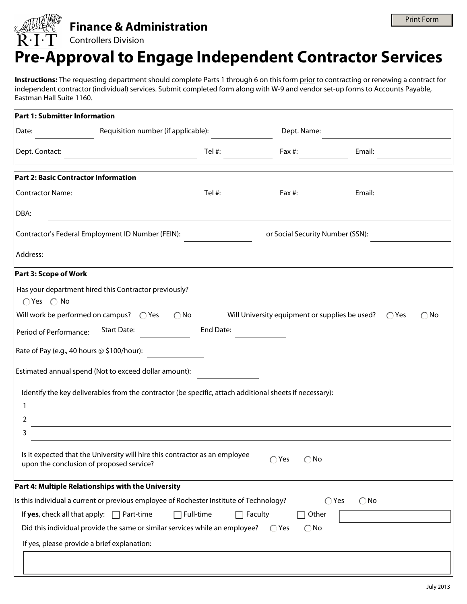## **Finance & Administration**

## Controllers Division

## **Pre-Approval to Engage Independent Contractor Services**

**Instructions:** The requesting department should complete Parts 1 through 6 on this form prior to contracting or renewing a contract for independent contractor (individual) services. Submit completed form along with W-9 and vendor set-up forms to Accounts Payable, Eastman Hall Suite 1160.

| <b>Part 1: Submitter Information</b>                                                  |                                                                                                         |           |                                                               |                                 |                          |
|---------------------------------------------------------------------------------------|---------------------------------------------------------------------------------------------------------|-----------|---------------------------------------------------------------|---------------------------------|--------------------------|
| Date:                                                                                 | Requisition number (if applicable):                                                                     |           | Dept. Name:                                                   |                                 |                          |
| Dept. Contact:                                                                        |                                                                                                         | Tel #:    | Fax #:                                                        | Email:                          |                          |
| Part 2: Basic Contractor Information                                                  |                                                                                                         |           |                                                               |                                 |                          |
| <b>Contractor Name:</b>                                                               |                                                                                                         | Tel $#$ : | Fax #:                                                        | Email:                          |                          |
| DBA:                                                                                  |                                                                                                         |           |                                                               |                                 |                          |
| Contractor's Federal Employment ID Number (FEIN):<br>or Social Security Number (SSN): |                                                                                                         |           |                                                               |                                 |                          |
| Address:                                                                              |                                                                                                         |           |                                                               |                                 |                          |
| Part 3: Scope of Work                                                                 |                                                                                                         |           |                                                               |                                 |                          |
| $\bigcirc$ Yes $\bigcirc$ No                                                          | Has your department hired this Contractor previously?                                                   |           |                                                               |                                 |                          |
| Will work be performed on campus? $\bigcirc$ Yes                                      | $\bigcirc$ No                                                                                           |           | Will University equipment or supplies be used? $\bigcirc$ Yes |                                 | $\bigcirc$ No            |
| Period of Performance:                                                                | <b>Start Date:</b>                                                                                      | End Date: |                                                               |                                 |                          |
| Rate of Pay (e.g., 40 hours @ \$100/hour):                                            |                                                                                                         |           |                                                               |                                 |                          |
|                                                                                       | Estimated annual spend (Not to exceed dollar amount):                                                   |           |                                                               |                                 |                          |
|                                                                                       | Identify the key deliverables from the contractor (be specific, attach additional sheets if necessary): |           |                                                               |                                 |                          |
| 1                                                                                     |                                                                                                         |           |                                                               |                                 |                          |
| 2                                                                                     |                                                                                                         |           |                                                               |                                 |                          |
| 3                                                                                     |                                                                                                         |           |                                                               |                                 |                          |
| upon the conclusion of proposed service?                                              | Is it expected that the University will hire this contractor as an employee                             |           | $\bigcirc$ Yes<br>$\bigcirc$ No                               |                                 |                          |
|                                                                                       | Part 4: Multiple Relationships with the University                                                      |           |                                                               |                                 |                          |
|                                                                                       | Is this individual a current or previous employee of Rochester Institute of Technology?                 |           |                                                               | $\bigcirc$ Yes<br>$\bigcirc$ No |                          |
| If yes, check all that apply: $\Box$ Part-time                                        | $\Box$ Full-time                                                                                        | $\Box$    | Faculty<br>Other                                              |                                 | $\overline{\phantom{a}}$ |
|                                                                                       | Did this individual provide the same or similar services while an employee?                             |           | $\bigcirc$ No<br>$\bigcirc$ Yes                               |                                 |                          |
| If yes, please provide a brief explanation:                                           |                                                                                                         |           |                                                               |                                 |                          |
|                                                                                       |                                                                                                         |           |                                                               |                                 |                          |